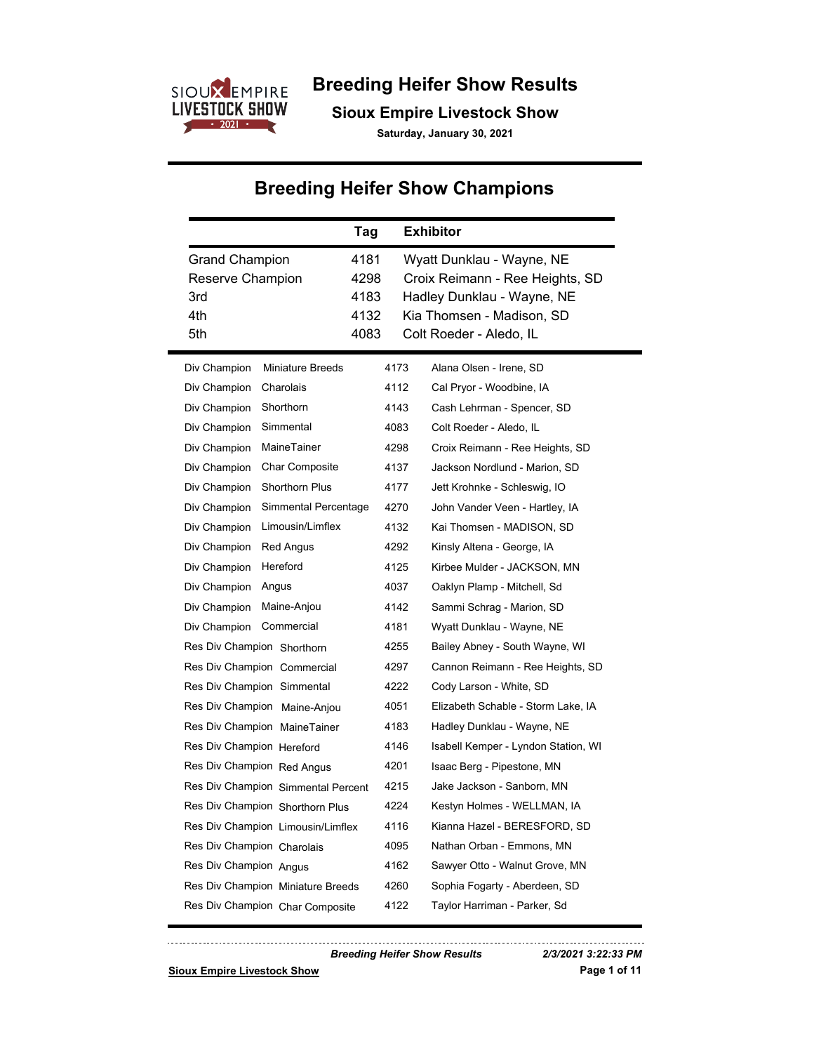

## **Breeding Heifer Show Results**

**Sioux Empire Livestock Show**

**Saturday, January 30, 2021**

# **Breeding Heifer Show Champions**

|                                                                | Tag                                  |      | <b>Exhibitor</b>                                                                                                                                   |  |
|----------------------------------------------------------------|--------------------------------------|------|----------------------------------------------------------------------------------------------------------------------------------------------------|--|
| <b>Grand Champion</b><br>Reserve Champion<br>3rd<br>4th<br>5th | 4181<br>4298<br>4183<br>4132<br>4083 |      | Wyatt Dunklau - Wayne, NE<br>Croix Reimann - Ree Heights, SD<br>Hadley Dunklau - Wayne, NE<br>Kia Thomsen - Madison, SD<br>Colt Roeder - Aledo, IL |  |
| <b>Miniature Breeds</b><br>Div Champion                        |                                      | 4173 | Alana Olsen - Irene, SD                                                                                                                            |  |
| Charolais<br>Div Champion                                      |                                      | 4112 | Cal Pryor - Woodbine, IA                                                                                                                           |  |
| Shorthorn<br>Div Champion                                      |                                      | 4143 | Cash Lehrman - Spencer, SD                                                                                                                         |  |
| Simmental<br>Div Champion                                      |                                      | 4083 | Colt Roeder - Aledo, IL                                                                                                                            |  |
| MaineTainer<br>Div Champion                                    |                                      | 4298 | Croix Reimann - Ree Heights, SD                                                                                                                    |  |
| <b>Char Composite</b><br>Div Champion                          |                                      | 4137 | Jackson Nordlund - Marion, SD                                                                                                                      |  |
| Shorthorn Plus<br>Div Champion                                 |                                      | 4177 | Jett Krohnke - Schleswig, IO                                                                                                                       |  |
| Div Champion                                                   | Simmental Percentage                 | 4270 | John Vander Veen - Hartley, IA                                                                                                                     |  |
| Limousin/Limflex<br>Div Champion                               |                                      | 4132 | Kai Thomsen - MADISON, SD                                                                                                                          |  |
| <b>Red Angus</b><br>Div Champion                               |                                      | 4292 | Kinsly Altena - George, IA                                                                                                                         |  |
| Hereford<br>Div Champion                                       |                                      | 4125 | Kirbee Mulder - JACKSON, MN                                                                                                                        |  |
| Div Champion<br>Angus                                          |                                      | 4037 | Oaklyn Plamp - Mitchell, Sd                                                                                                                        |  |
| Div Champion<br>Maine-Anjou                                    |                                      | 4142 | Sammi Schrag - Marion, SD                                                                                                                          |  |
| Commercial<br>Div Champion                                     |                                      | 4181 | Wyatt Dunklau - Wayne, NE                                                                                                                          |  |
| Res Div Champion Shorthorn                                     |                                      | 4255 | Bailey Abney - South Wayne, WI                                                                                                                     |  |
| Res Div Champion Commercial                                    |                                      | 4297 | Cannon Reimann - Ree Heights, SD                                                                                                                   |  |
| Res Div Champion Simmental                                     |                                      | 4222 | Cody Larson - White, SD                                                                                                                            |  |
| Res Div Champion Maine-Anjou                                   |                                      | 4051 | Elizabeth Schable - Storm Lake, IA                                                                                                                 |  |
| Res Div Champion MaineTainer                                   |                                      | 4183 | Hadley Dunklau - Wayne, NE                                                                                                                         |  |
| Res Div Champion Hereford                                      |                                      | 4146 | Isabell Kemper - Lyndon Station, WI                                                                                                                |  |
| Res Div Champion Red Angus                                     |                                      | 4201 | Isaac Berg - Pipestone, MN                                                                                                                         |  |
| Res Div Champion Simmental Percent                             |                                      | 4215 | Jake Jackson - Sanborn, MN                                                                                                                         |  |
| Res Div Champion Shorthorn Plus                                |                                      | 4224 | Kestyn Holmes - WELLMAN, IA                                                                                                                        |  |
| Res Div Champion Limousin/Limflex                              |                                      | 4116 | Kianna Hazel - BERESFORD, SD                                                                                                                       |  |
| Res Div Champion Charolais                                     |                                      | 4095 | Nathan Orban - Emmons, MN                                                                                                                          |  |
| Res Div Champion Angus                                         |                                      | 4162 | Sawyer Otto - Walnut Grove, MN                                                                                                                     |  |
| Res Div Champion Miniature Breeds                              |                                      | 4260 | Sophia Fogarty - Aberdeen, SD                                                                                                                      |  |
| Res Div Champion Char Composite                                |                                      | 4122 | Taylor Harriman - Parker, Sd                                                                                                                       |  |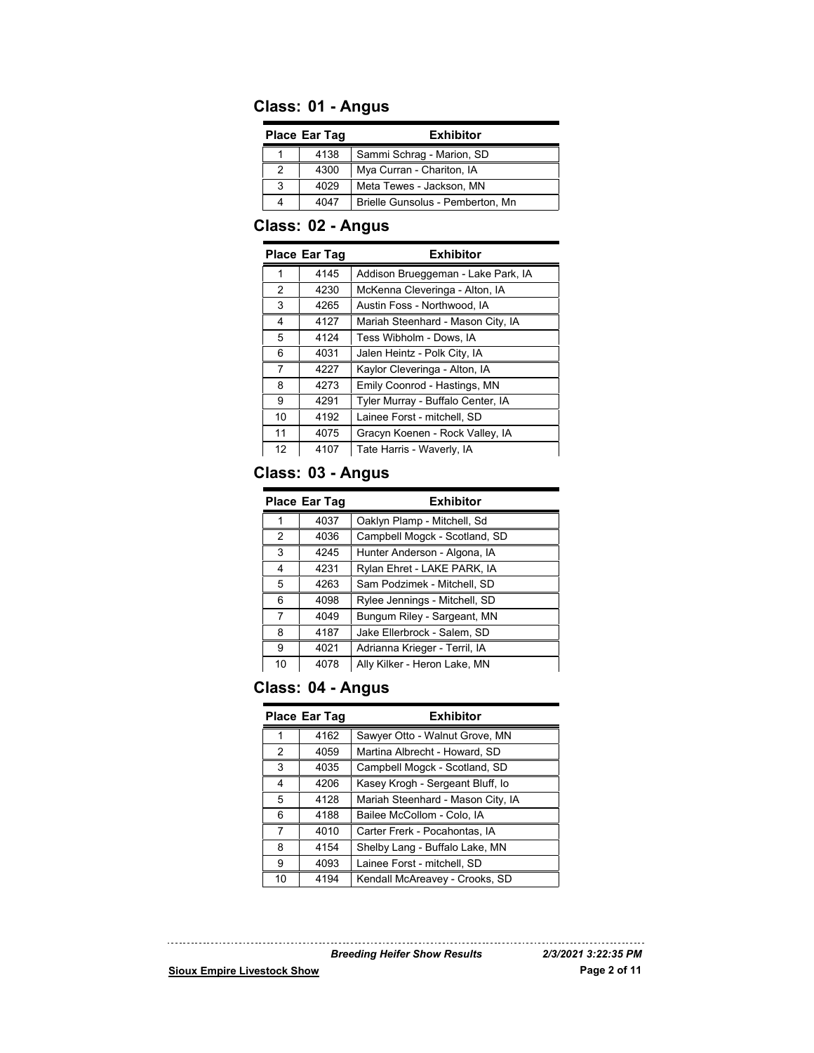## **Class: 01 - Angus**

| <b>Place Ear Tag</b> |      | <b>Exhibitor</b>                 |
|----------------------|------|----------------------------------|
|                      | 4138 | Sammi Schrag - Marion, SD        |
| 2                    | 4300 | Mya Curran - Chariton, IA        |
| 3                    | 4029 | Meta Tewes - Jackson, MN         |
|                      | 4047 | Brielle Gunsolus - Pemberton, Mn |

## **Class: 02 - Angus**

|    | <b>Place Ear Tag</b> | <b>Exhibitor</b>                   |
|----|----------------------|------------------------------------|
| 1  | 4145                 | Addison Brueggeman - Lake Park, IA |
| 2  | 4230                 | McKenna Cleveringa - Alton, IA     |
| 3  | 4265                 | Austin Foss - Northwood, IA        |
| 4  | 4127                 | Mariah Steenhard - Mason City, IA  |
| 5  | 4124                 | Tess Wibholm - Dows, IA            |
| 6  | 4031                 | Jalen Heintz - Polk City, IA       |
| 7  | 4227                 | Kaylor Cleveringa - Alton, IA      |
| 8  | 4273                 | Emily Coonrod - Hastings, MN       |
| 9  | 4291                 | Tyler Murray - Buffalo Center, IA  |
| 10 | 4192                 | Lainee Forst - mitchell. SD        |
| 11 | 4075                 | Gracyn Koenen - Rock Valley, IA    |
| 12 | 4107                 | Tate Harris - Waverly, IA          |

## **Class: 03 - Angus**

| <b>Place Ear Tag</b> |      | <b>Exhibitor</b>              |
|----------------------|------|-------------------------------|
|                      | 4037 | Oaklyn Plamp - Mitchell, Sd   |
| 2                    | 4036 | Campbell Mogck - Scotland, SD |
| 3                    | 4245 | Hunter Anderson - Algona, IA  |
| 4                    | 4231 | Rylan Ehret - LAKE PARK, IA   |
| 5                    | 4263 | Sam Podzimek - Mitchell, SD   |
| 6                    | 4098 | Rylee Jennings - Mitchell, SD |
| 7                    | 4049 | Bungum Riley - Sargeant, MN   |
| 8                    | 4187 | Jake Ellerbrock - Salem, SD   |
| 9                    | 4021 | Adrianna Krieger - Terril, IA |
| 10                   | 4078 | Ally Kilker - Heron Lake, MN  |

## **Class: 04 - Angus**

| <b>Place Ear Tag</b> |      | <b>Exhibitor</b>                  |
|----------------------|------|-----------------------------------|
|                      | 4162 | Sawyer Otto - Walnut Grove, MN    |
| 2                    | 4059 | Martina Albrecht - Howard, SD     |
| 3                    | 4035 | Campbell Mogck - Scotland, SD     |
| 4                    | 4206 | Kasey Krogh - Sergeant Bluff, Io  |
| 5                    | 4128 | Mariah Steenhard - Mason City, IA |
| 6                    | 4188 | Bailee McCollom - Colo, IA        |
| 7                    | 4010 | Carter Frerk - Pocahontas, IA     |
| 8                    | 4154 | Shelby Lang - Buffalo Lake, MN    |
| 9                    | 4093 | Lainee Forst - mitchell, SD       |
| 10                   | 4194 | Kendall McAreavey - Crooks, SD    |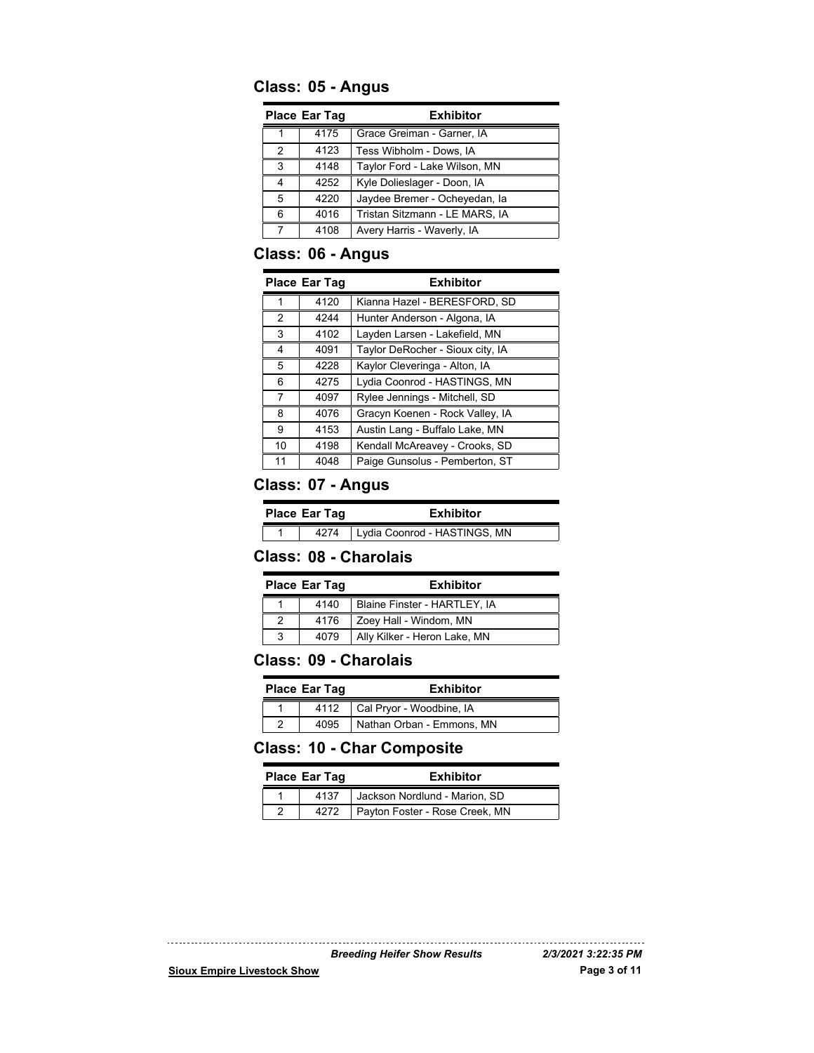## **Class: 05 - Angus**

| <b>Place Ear Tag</b> |      | <b>Exhibitor</b>               |
|----------------------|------|--------------------------------|
|                      | 4175 | Grace Greiman - Garner, IA     |
| $\mathcal{P}$        | 4123 | Tess Wibholm - Dows, IA        |
| 3                    | 4148 | Taylor Ford - Lake Wilson, MN  |
| Δ                    | 4252 | Kyle Dolieslager - Doon, IA    |
| 5                    | 4220 | Jaydee Bremer - Ocheyedan, la  |
| 6                    | 4016 | Tristan Sitzmann - LE MARS, IA |
|                      | 4108 | Avery Harris - Waverly, IA     |

## **Class: 06 - Angus**

|               | <b>Place Ear Tag</b> | <b>Exhibitor</b>                 |
|---------------|----------------------|----------------------------------|
|               |                      |                                  |
|               | 4120                 | Kianna Hazel - BERESFORD, SD     |
| $\mathcal{P}$ | 4244                 | Hunter Anderson - Algona, IA     |
| 3             | 4102                 | Layden Larsen - Lakefield, MN    |
| 4             | 4091                 | Taylor DeRocher - Sioux city, IA |
| 5             | 4228                 | Kaylor Cleveringa - Alton, IA    |
| 6             | 4275                 | Lydia Coonrod - HASTINGS, MN     |
| 7             | 4097                 | Rylee Jennings - Mitchell, SD    |
| 8             | 4076                 | Gracyn Koenen - Rock Valley, IA  |
| 9             | 4153                 | Austin Lang - Buffalo Lake, MN   |
| 10            | 4198                 | Kendall McAreavey - Crooks, SD   |
| 11            | 4048                 | Paige Gunsolus - Pemberton, ST   |

## **Class: 07 - Angus**

| <b>Place Ear Tag</b> |      | <b>Exhibitor</b>             |
|----------------------|------|------------------------------|
|                      | 4274 | Lydia Coonrod - HASTINGS, MN |

## **Class: 08 - Charolais**

| <b>Place Ear Tag</b> |      | <b>Exhibitor</b>             |
|----------------------|------|------------------------------|
|                      | 4140 | Blaine Finster - HARTLEY, IA |
|                      | 4176 | Zoey Hall - Windom, MN       |
| 3                    | 4079 | Ally Kilker - Heron Lake, MN |

## **Class: 09 - Charolais**

| <b>Place Ear Tag</b> | <b>Exhibitor</b>          |
|----------------------|---------------------------|
| 4112                 | Cal Pryor - Woodbine, IA  |
| 4095                 | Nathan Orban - Emmons, MN |

## **Class: 10 - Char Composite**

| Place Ear Tag |      | <b>Exhibitor</b>               |
|---------------|------|--------------------------------|
|               | 4137 | Jackson Nordlund - Marion, SD  |
|               | 4272 | Payton Foster - Rose Creek, MN |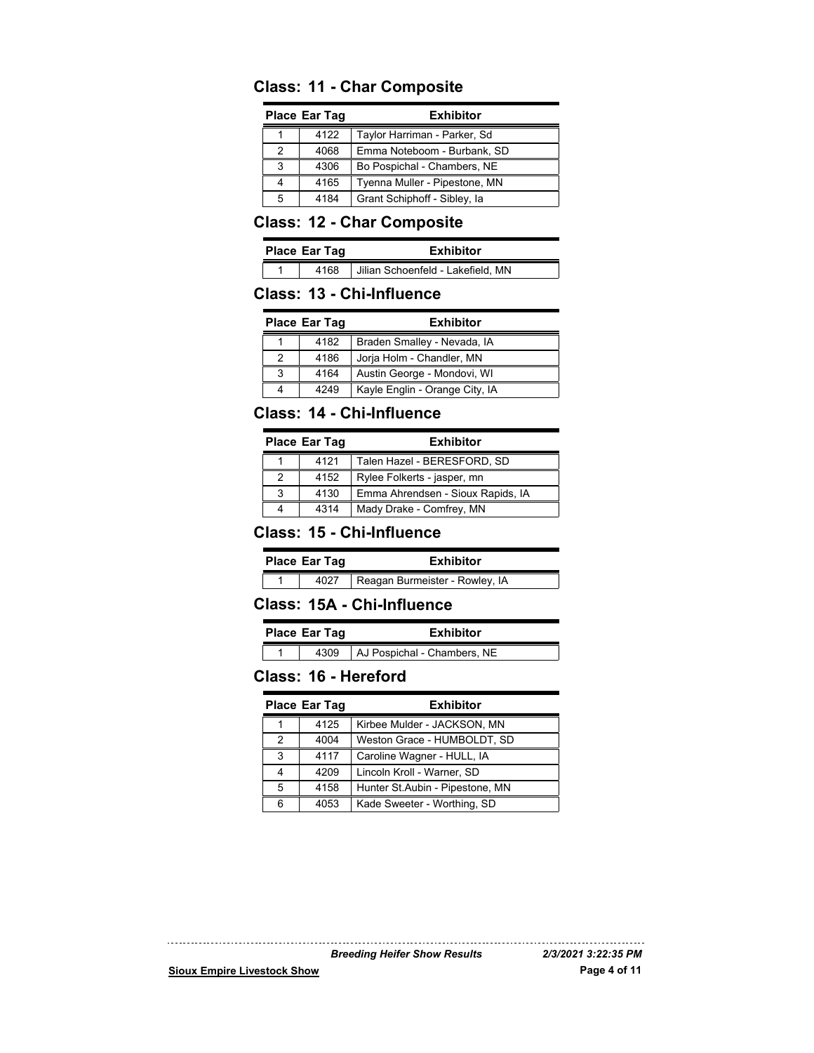### **Class: 11 - Char Composite**

| <b>Place Ear Tag</b> |      | <b>Exhibitor</b>              |
|----------------------|------|-------------------------------|
|                      | 4122 | Taylor Harriman - Parker, Sd  |
| 2                    | 4068 | Emma Noteboom - Burbank, SD   |
| 3                    | 4306 | Bo Pospichal - Chambers, NE   |
|                      | 4165 | Tyenna Muller - Pipestone, MN |
| 5                    | 4184 | Grant Schiphoff - Sibley, la  |

## **Class: 12 - Char Composite**

| <b>Place Ear Tag</b> |      | <b>Exhibitor</b>                  |
|----------------------|------|-----------------------------------|
|                      | 4168 | Jilian Schoenfeld - Lakefield, MN |

#### **Class: 13 - Chi-Influence**

| <b>Place Ear Tag</b> |      | <b>Exhibitor</b>               |
|----------------------|------|--------------------------------|
|                      | 4182 | Braden Smalley - Nevada, IA    |
|                      | 4186 | Jorja Holm - Chandler, MN      |
| 3                    | 4164 | Austin George - Mondovi, WI    |
|                      | 4249 | Kayle Englin - Orange City, IA |

#### **Class: 14 - Chi-Influence**

| <b>Place Ear Tag</b> |      | <b>Exhibitor</b>                  |
|----------------------|------|-----------------------------------|
|                      | 4121 | Talen Hazel - BERESFORD, SD       |
|                      | 4152 | Rylee Folkerts - jasper, mn       |
| 3                    | 4130 | Emma Ahrendsen - Sioux Rapids, IA |
|                      | 4314 | Mady Drake - Comfrey, MN          |

#### **Class: 15 - Chi-Influence**

| <b>Place Ear Tag</b> |      | <b>Exhibitor</b>               |
|----------------------|------|--------------------------------|
|                      | 4027 | Reagan Burmeister - Rowley, IA |

#### **Class: 15A - Chi-Influence**

| Place Ear Tag |      | <b>Exhibitor</b>            |  |
|---------------|------|-----------------------------|--|
|               | 4309 | AJ Pospichal - Chambers, NE |  |

#### **Class: 16 - Hereford**

|               | <b>Place Ear Tag</b> | <b>Exhibitor</b>                 |
|---------------|----------------------|----------------------------------|
|               | 4125                 | Kirbee Mulder - JACKSON, MN      |
| $\mathcal{P}$ | 4004                 | Weston Grace - HUMBOLDT, SD      |
| 3             | 4117                 | Caroline Wagner - HULL, IA       |
|               | 4209                 | Lincoln Kroll - Warner, SD       |
| 5             | 4158                 | Hunter St. Aubin - Pipestone, MN |
| հ             | 4053                 | Kade Sweeter - Worthing, SD      |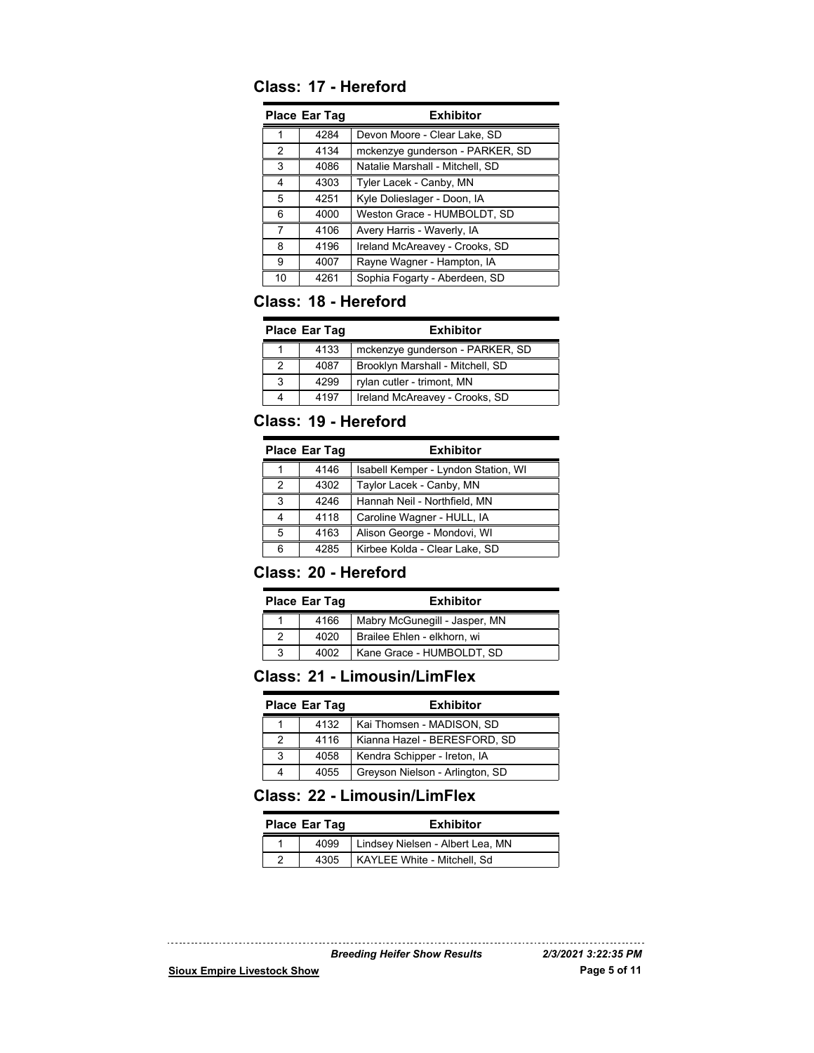## **Class: 17 - Hereford**

| Place Ear Tag |      | <b>Exhibitor</b>                |
|---------------|------|---------------------------------|
|               | 4284 | Devon Moore - Clear Lake, SD    |
| 2             | 4134 | mckenzye gunderson - PARKER, SD |
| 3             | 4086 | Natalie Marshall - Mitchell, SD |
| 4             | 4303 | Tyler Lacek - Canby, MN         |
| 5             | 4251 | Kyle Dolieslager - Doon, IA     |
| 6             | 4000 | Weston Grace - HUMBOLDT, SD     |
| 7             | 4106 | Avery Harris - Waverly, IA      |
| 8             | 4196 | Ireland McAreavey - Crooks, SD  |
| 9             | 4007 | Rayne Wagner - Hampton, IA      |
| 10            | 4261 | Sophia Fogarty - Aberdeen, SD   |

## **Class: 18 - Hereford**

| <b>Place Ear Tag</b> |      | <b>Exhibitor</b>                 |
|----------------------|------|----------------------------------|
|                      | 4133 | mckenzye gunderson - PARKER, SD  |
|                      | 4087 | Brooklyn Marshall - Mitchell, SD |
| 3                    | 4299 | rylan cutler - trimont, MN       |
|                      | 4197 | Ireland McAreavey - Crooks, SD   |

## **Class: 19 - Hereford**

|   | <b>Place Ear Tag</b> | <b>Exhibitor</b>                    |
|---|----------------------|-------------------------------------|
|   | 4146                 | Isabell Kemper - Lyndon Station, WI |
| 2 | 4302                 | Taylor Lacek - Canby, MN            |
| 3 | 4246                 | Hannah Neil - Northfield, MN        |
|   | 4118                 | Caroline Wagner - HULL, IA          |
| 5 | 4163                 | Alison George - Mondovi, WI         |
| հ | 4285                 | Kirbee Kolda - Clear Lake, SD       |

## **Class: 20 - Hereford**

| Place Ear Tag |      | <b>Exhibitor</b>              |
|---------------|------|-------------------------------|
|               | 4166 | Mabry McGunegill - Jasper, MN |
|               | 4020 | Brailee Ehlen - elkhorn, wi   |
| 3             | 4002 | Kane Grace - HUMBOLDT, SD     |

## **Class: 21 - Limousin/LimFlex**

|   | <b>Place Ear Tag</b> | <b>Exhibitor</b>                |
|---|----------------------|---------------------------------|
|   | 4132                 | Kai Thomsen - MADISON, SD       |
|   | 4116                 | Kianna Hazel - BERESFORD, SD    |
| 3 | 4058                 | Kendra Schipper - Ireton, IA    |
|   | 4055                 | Greyson Nielson - Arlington, SD |

## **Class: 22 - Limousin/LimFlex**

| Place Ear Tag |      | <b>Exhibitor</b>                 |
|---------------|------|----------------------------------|
|               | 4099 | Lindsey Nielsen - Albert Lea, MN |
|               | 4305 | KAYLEE White - Mitchell, Sd      |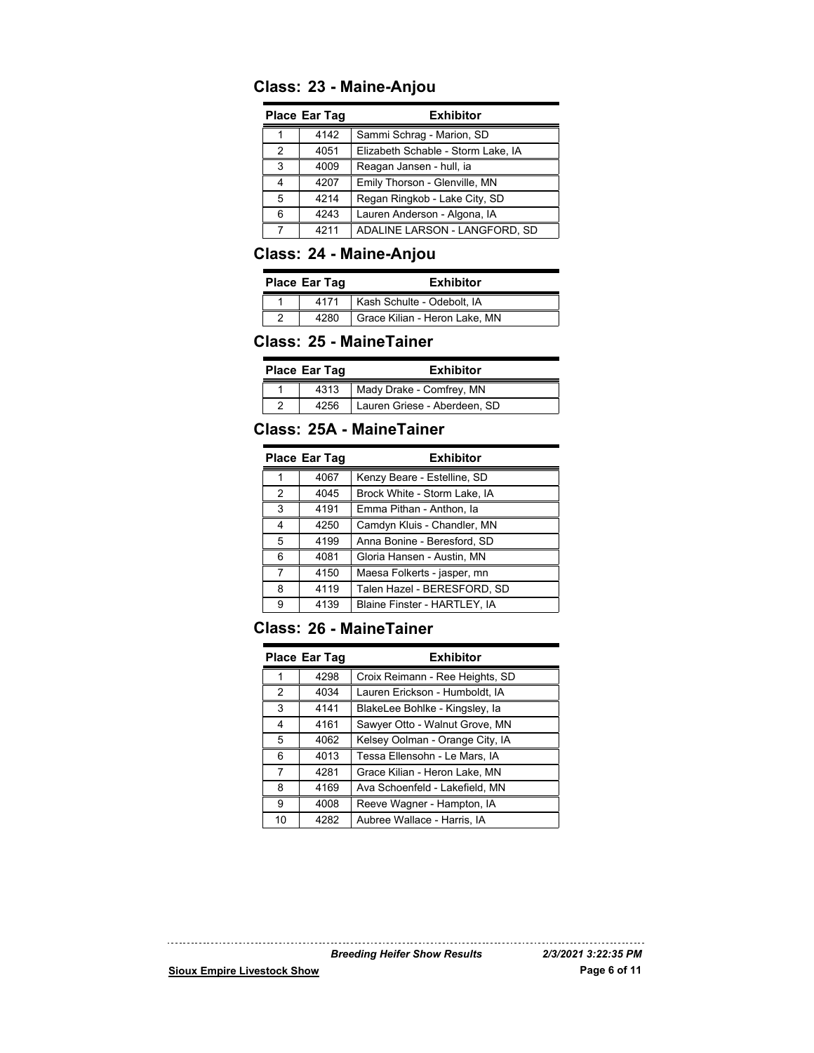## **Class: 23 - Maine-Anjou**

| <b>Place Ear Tag</b> |      | <b>Exhibitor</b>                   |
|----------------------|------|------------------------------------|
|                      | 4142 | Sammi Schrag - Marion, SD          |
| 2                    | 4051 | Elizabeth Schable - Storm Lake, IA |
| 3                    | 4009 | Reagan Jansen - hull, ia           |
| 4                    | 4207 | Emily Thorson - Glenville, MN      |
| 5                    | 4214 | Regan Ringkob - Lake City, SD      |
| հ                    | 4243 | Lauren Anderson - Algona, IA       |
|                      | 4211 | ADALINE LARSON - LANGFORD, SD      |

## **Class: 24 - Maine-Anjou**

| Place Ear Tag |      | <b>Exhibitor</b>              |
|---------------|------|-------------------------------|
|               | 4171 | Kash Schulte - Odebolt, IA    |
|               | 4280 | Grace Kilian - Heron Lake, MN |

#### **Class: 25 - MaineTainer**

| Place Ear Tag |      | <b>Exhibitor</b>             |
|---------------|------|------------------------------|
|               | 4313 | Mady Drake - Comfrey, MN     |
|               | 4256 | Lauren Griese - Aberdeen, SD |

## **Class: 25A - MaineTainer**

|   | Place Ear Tag | <b>Exhibitor</b>             |
|---|---------------|------------------------------|
|   | 4067          | Kenzy Beare - Estelline, SD  |
| 2 | 4045          | Brock White - Storm Lake, IA |
| 3 | 4191          | Emma Pithan - Anthon, la     |
| 4 | 4250          | Camdyn Kluis - Chandler, MN  |
| 5 | 4199          | Anna Bonine - Beresford, SD  |
| 6 | 4081          | Gloria Hansen - Austin, MN   |
| 7 | 4150          | Maesa Folkerts - jasper, mn  |
| 8 | 4119          | Talen Hazel - BERESFORD, SD  |
| g | 4139          | Blaine Finster - HARTLEY, IA |

## **Class: 26 - MaineTainer**

| <b>Place Ear Tag</b> |      | <b>Exhibitor</b>                |
|----------------------|------|---------------------------------|
|                      | 4298 | Croix Reimann - Ree Heights, SD |
| 2                    | 4034 | Lauren Erickson - Humboldt, IA  |
| 3                    | 4141 | BlakeLee Bohlke - Kingsley, la  |
| 4                    | 4161 | Sawyer Otto - Walnut Grove, MN  |
| 5                    | 4062 | Kelsey Oolman - Orange City, IA |
| 6                    | 4013 | Tessa Ellensohn - Le Mars, IA   |
| 7                    | 4281 | Grace Kilian - Heron Lake, MN   |
| 8                    | 4169 | Ava Schoenfeld - Lakefield, MN  |
| 9                    | 4008 | Reeve Wagner - Hampton, IA      |
| 10                   | 4282 | Aubree Wallace - Harris, IA     |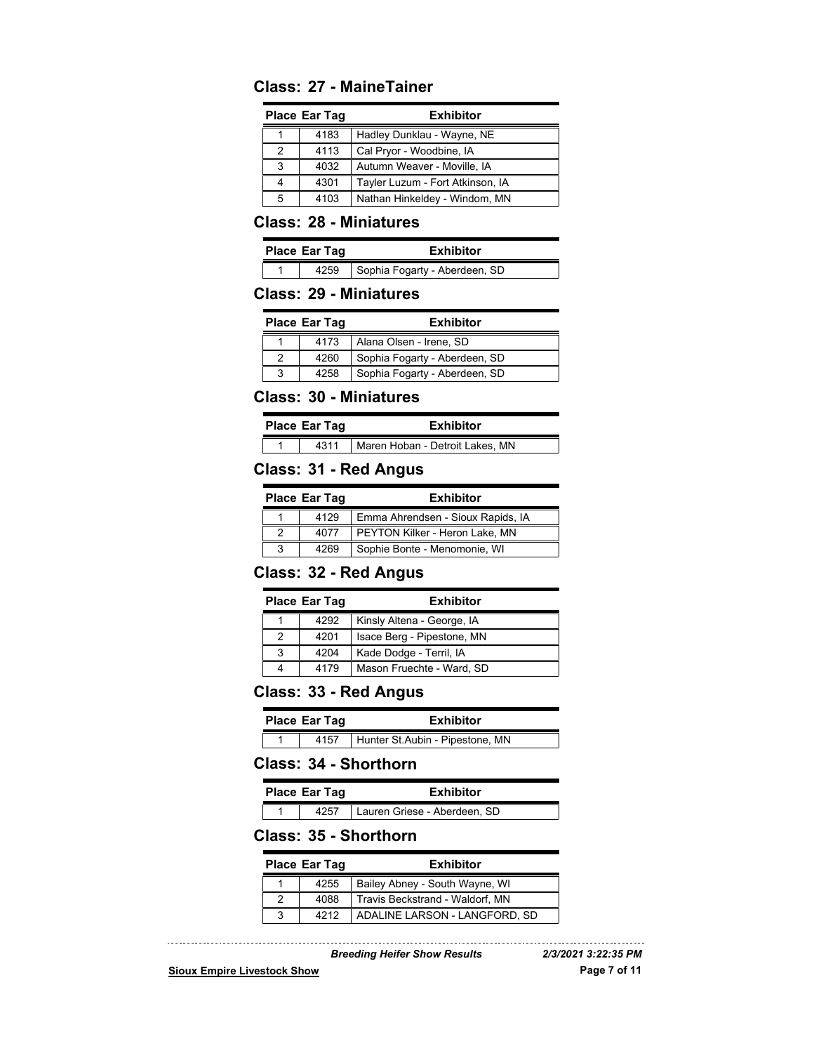#### **Class: 27 - MaineTainer**

| <b>Place Ear Tag</b> |      | <b>Exhibitor</b>                 |
|----------------------|------|----------------------------------|
|                      | 4183 | Hadley Dunklau - Wayne, NE       |
| 2                    | 4113 | Cal Pryor - Woodbine, IA         |
| 3                    | 4032 | Autumn Weaver - Moville, IA      |
|                      | 4301 | Tayler Luzum - Fort Atkinson, IA |
| 5                    | 4103 | Nathan Hinkeldey - Windom, MN    |

#### **Class: 28 - Miniatures**

| <b>Place Ear Tag</b> |  | Exhibitor                            |
|----------------------|--|--------------------------------------|
|                      |  | 4259   Sophia Fogarty - Aberdeen, SD |

#### **Class: 29 - Miniatures**

| <b>Place Ear Tag</b> |      | <b>Exhibitor</b>              |
|----------------------|------|-------------------------------|
|                      | 4173 | Alana Olsen - Irene, SD       |
|                      | 4260 | Sophia Fogarty - Aberdeen, SD |
|                      | 4258 | Sophia Fogarty - Aberdeen, SD |

#### **Class: 30 - Miniatures**

| <b>Place Ear Tag</b> |      | <b>Exhibitor</b>                |
|----------------------|------|---------------------------------|
|                      | 4311 | Maren Hoban - Detroit Lakes, MN |

#### **Class: 31 - Red Angus**

| <b>Place Ear Tag</b> |      | <b>Exhibitor</b>                  |
|----------------------|------|-----------------------------------|
|                      | 4129 | Emma Ahrendsen - Sioux Rapids, IA |
|                      | 4077 | PEYTON Kilker - Heron Lake, MN    |
|                      | 4269 | Sophie Bonte - Menomonie, WI      |

#### **Class: 32 - Red Angus**

| <b>Place Ear Tag</b> |      | <b>Exhibitor</b>           |
|----------------------|------|----------------------------|
|                      | 4292 | Kinsly Altena - George, IA |
|                      | 4201 | Isace Berg - Pipestone, MN |
|                      | 4204 | Kade Dodge - Terril, IA    |
|                      | 4179 | Mason Fruechte - Ward, SD  |

#### **Class: 33 - Red Angus**

| Place Ear Tag |      | <b>Exhibitor</b>                |
|---------------|------|---------------------------------|
|               | 4157 | Hunter St.Aubin - Pipestone, MN |

## **Class: 34 - Shorthorn**

| <b>Place Ear Tag</b> | <b>Exhibitor</b> |
|----------------------|------------------|

1 4257 Lauren Griese - Aberdeen, SD

#### **Class: 35 - Shorthorn**

| <b>Place Ear Tag</b> | <b>Exhibitor</b>                |
|----------------------|---------------------------------|
| 4255                 | Bailey Abney - South Wayne, WI  |
| 4088                 | Travis Beckstrand - Waldorf, MN |
| 4212                 | ADALINE LARSON - LANGFORD, SD   |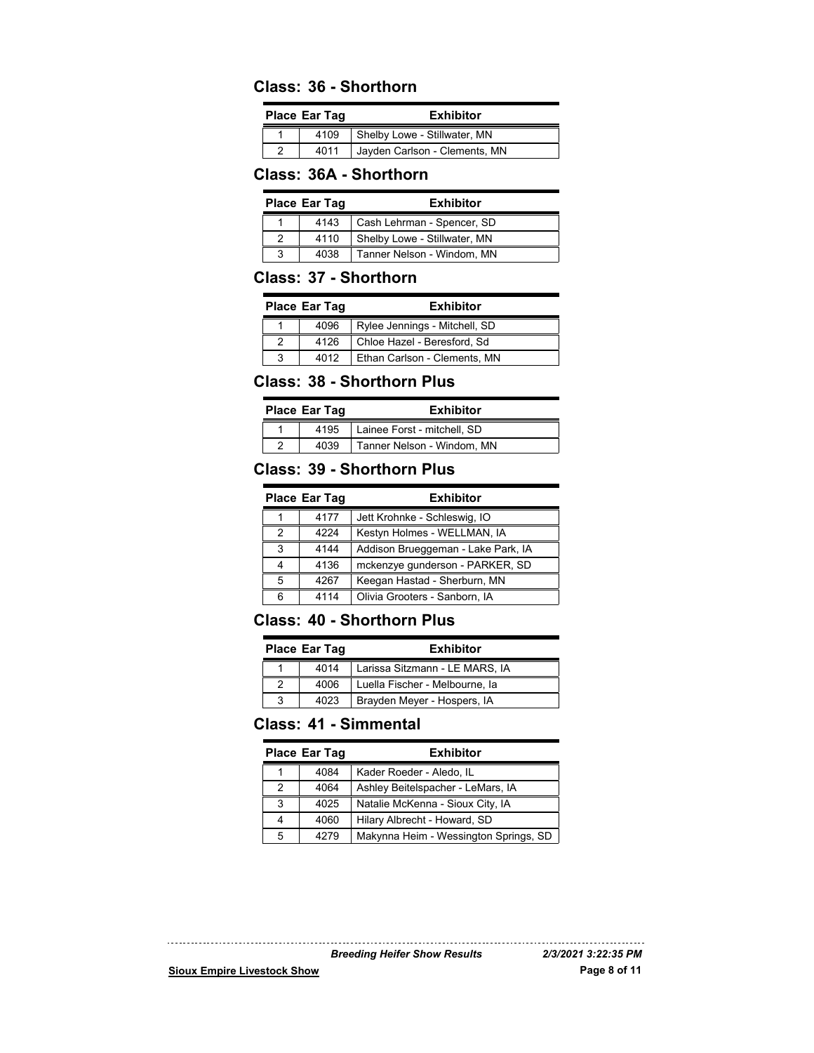#### **Class: 36 - Shorthorn**

| <b>Place Ear Tag</b> | <b>Exhibitor</b>              |
|----------------------|-------------------------------|
| 4109                 | Shelby Lowe - Stillwater, MN  |
| 4011                 | Jayden Carlson - Clements, MN |

#### **Class: 36A - Shorthorn**

| <b>Place Ear Tag</b> |      | <b>Exhibitor</b>             |
|----------------------|------|------------------------------|
|                      | 4143 | Cash Lehrman - Spencer, SD   |
|                      | 4110 | Shelby Lowe - Stillwater, MN |
| 3                    | 4038 | Tanner Nelson - Windom, MN   |

#### **Class: 37 - Shorthorn**

| <b>Place Ear Tag</b> | <b>Exhibitor</b>              |
|----------------------|-------------------------------|
| 4096                 | Rylee Jennings - Mitchell, SD |
| 4126                 | Chloe Hazel - Beresford, Sd   |
| 4012                 | Ethan Carlson - Clements, MN  |

#### **Class: 38 - Shorthorn Plus**

|   | <b>Place Ear Tag</b> | <b>Exhibitor</b>            |
|---|----------------------|-----------------------------|
|   | 4195                 | Lainee Forst - mitchell. SD |
| ◠ | 4039                 | Tanner Nelson - Windom, MN  |

#### **Class: 39 - Shorthorn Plus**

|               | <b>Place Ear Tag</b> | <b>Exhibitor</b>                   |
|---------------|----------------------|------------------------------------|
|               | 4177                 | Jett Krohnke - Schleswig, IO       |
| $\mathcal{P}$ | 4224                 | Kestyn Holmes - WELLMAN, IA        |
| 3             | 4144                 | Addison Brueggeman - Lake Park, IA |
|               | 4136                 | mckenzye gunderson - PARKER, SD    |
| 5             | 4267                 | Keegan Hastad - Sherburn, MN       |
|               | 4114                 | Olivia Grooters - Sanborn, IA      |

#### **Class: 40 - Shorthorn Plus**

|   | <b>Place Ear Tag</b> | <b>Exhibitor</b>               |
|---|----------------------|--------------------------------|
|   | 4014                 | Larissa Sitzmann - LE MARS, IA |
|   | 4006                 | Luella Fischer - Melbourne, la |
| 3 | 4023                 | Brayden Meyer - Hospers, IA    |

## **Class: 41 - Simmental**

|   | <b>Place Ear Tag</b> | <b>Exhibitor</b>                      |
|---|----------------------|---------------------------------------|
|   | 4084                 | Kader Roeder - Aledo, IL              |
| 2 | 4064                 | Ashley Beitelspacher - LeMars, IA     |
| 3 | 4025                 | Natalie McKenna - Sioux City, IA      |
|   | 4060                 | Hilary Albrecht - Howard, SD          |
| 5 | 4279                 | Makynna Heim - Wessington Springs, SD |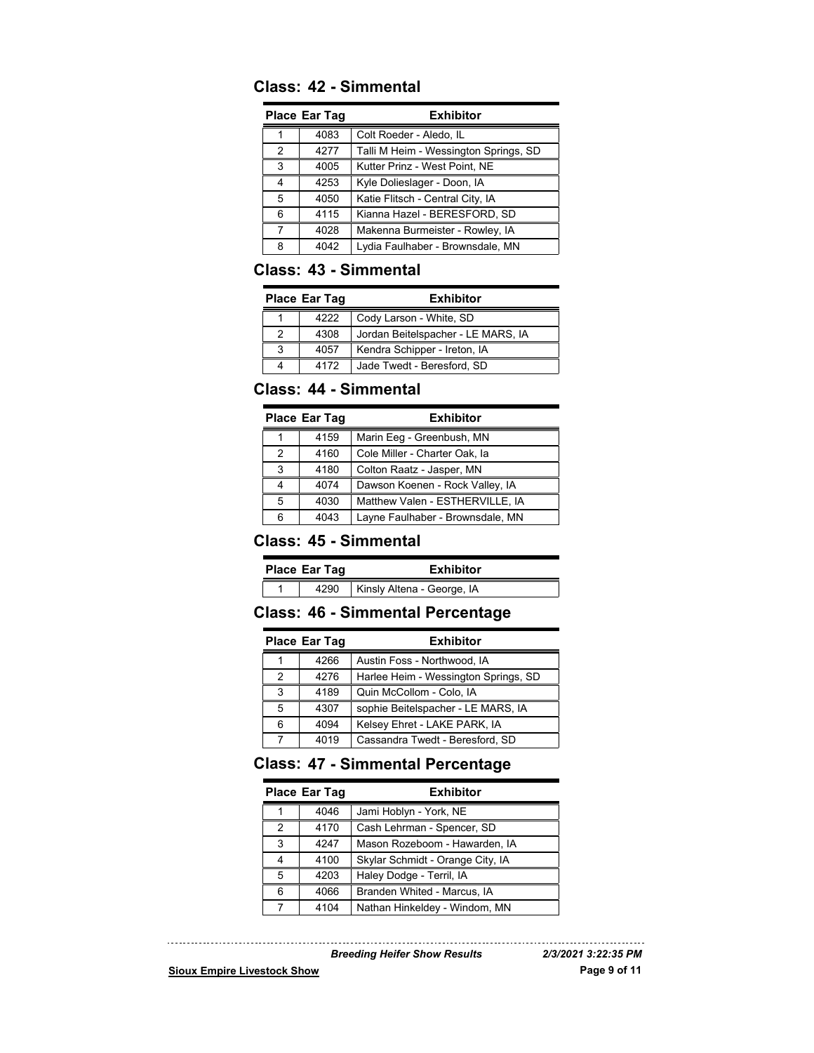## **Class: 42 - Simmental**

|               | <b>Place Ear Tag</b> | Exhibitor                             |
|---------------|----------------------|---------------------------------------|
|               | 4083                 | Colt Roeder - Aledo, IL               |
| $\mathcal{P}$ | 4277                 | Talli M Heim - Wessington Springs, SD |
| 3             | 4005                 | Kutter Prinz - West Point, NE         |
| 4             | 4253                 | Kyle Dolieslager - Doon, IA           |
| 5             | 4050                 | Katie Flitsch - Central City, IA      |
| 6             | 4115                 | Kianna Hazel - BERESFORD, SD          |
| 7             | 4028                 | Makenna Burmeister - Rowley, IA       |
| 8             | 4042                 | Lydia Faulhaber - Brownsdale, MN      |

#### **Class: 43 - Simmental**

| <b>Place Ear Tag</b> | <b>Exhibitor</b>                   |
|----------------------|------------------------------------|
| 4222                 | Cody Larson - White, SD            |
| 4308                 | Jordan Beitelspacher - LE MARS, IA |
| 4057                 | Kendra Schipper - Ireton, IA       |
| 4172                 | Jade Twedt - Beresford, SD         |

## **Class: 44 - Simmental**

|   | Place Ear Tag | <b>Exhibitor</b>                 |
|---|---------------|----------------------------------|
|   | 4159          | Marin Eeg - Greenbush, MN        |
| 2 | 4160          | Cole Miller - Charter Oak, la    |
| 3 | 4180          | Colton Raatz - Jasper, MN        |
| 4 | 4074          | Dawson Koenen - Rock Valley, IA  |
| 5 | 4030          | Matthew Valen - ESTHERVILLE, IA  |
| 6 | 4043          | Layne Faulhaber - Brownsdale, MN |

## **Class: 45 - Simmental**

| <b>Place Ear Tag</b> |  |      | <b>Exhibitor</b>           |
|----------------------|--|------|----------------------------|
|                      |  | 4290 | Kinsly Altena - George, IA |

## **Class: 46 - Simmental Percentage**

| Place Ear Tag |      | <b>Exhibitor</b>                     |
|---------------|------|--------------------------------------|
|               | 4266 | Austin Foss - Northwood, IA          |
| 2             | 4276 | Harlee Heim - Wessington Springs, SD |
| 3             | 4189 | Quin McCollom - Colo, IA             |
| 5             | 4307 | sophie Beitelspacher - LE MARS, IA   |
| 6             | 4094 | Kelsey Ehret - LAKE PARK, IA         |
|               | 4019 | Cassandra Twedt - Beresford, SD      |

## **Class: 47 - Simmental Percentage**

|               | <b>Place Ear Tag</b> | <b>Exhibitor</b>                 |
|---------------|----------------------|----------------------------------|
| 1             | 4046                 | Jami Hoblyn - York, NE           |
| $\mathcal{P}$ | 4170                 | Cash Lehrman - Spencer, SD       |
| 3             | 4247                 | Mason Rozeboom - Hawarden, IA    |
| 4             | 4100                 | Skylar Schmidt - Orange City, IA |
| 5             | 4203                 | Haley Dodge - Terril, IA         |
| 6             | 4066                 | Branden Whited - Marcus, IA      |
| 7             | 4104                 | Nathan Hinkeldey - Windom, MN    |

*Breeding Heifer Show Results 2/3/2021 3:22:35 PM*

**Sioux Empire Livestock Show Page 9 of 11**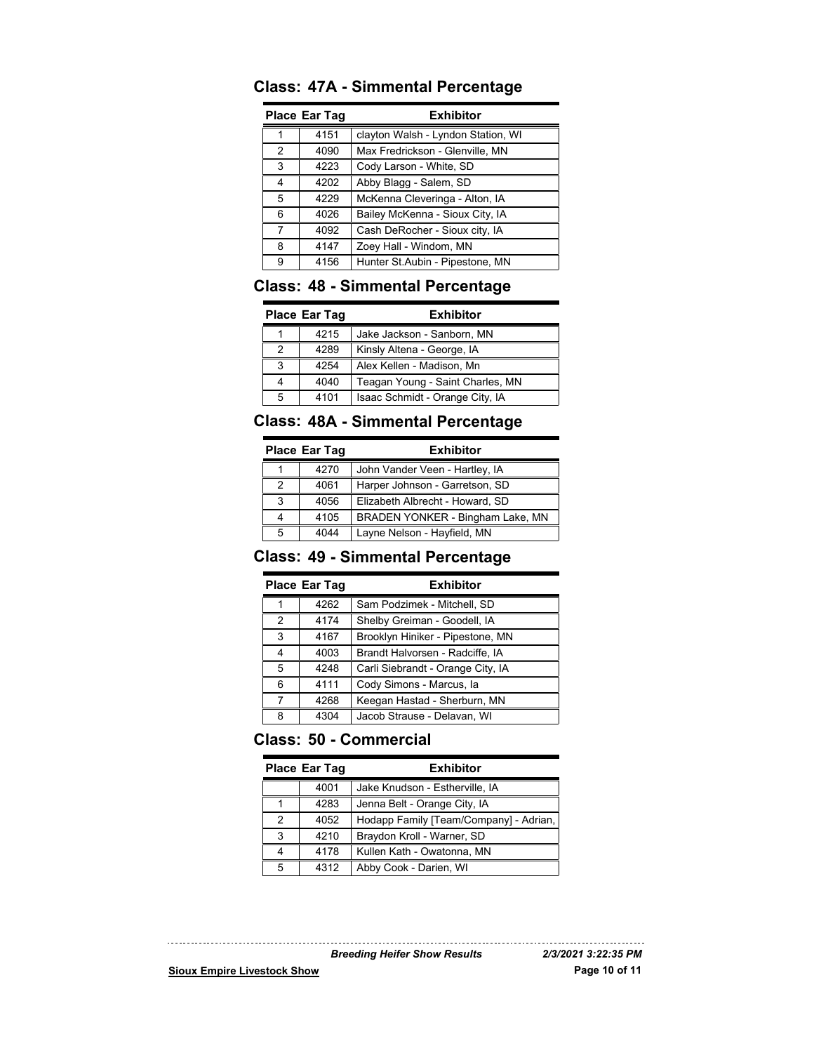| Place Ear Tag |      | <b>Exhibitor</b>                   |
|---------------|------|------------------------------------|
|               | 4151 | clayton Walsh - Lyndon Station, WI |
| 2             | 4090 | Max Fredrickson - Glenville, MN    |
| 3             | 4223 | Cody Larson - White, SD            |
| 4             | 4202 | Abby Blagg - Salem, SD             |
| 5             | 4229 | McKenna Cleveringa - Alton, IA     |
| 6             | 4026 | Bailey McKenna - Sioux City, IA    |
| 7             | 4092 | Cash DeRocher - Sioux city, IA     |
| 8             | 4147 | Zoey Hall - Windom, MN             |
| 9             | 4156 | Hunter St.Aubin - Pipestone, MN    |

## **Class: 47A - Simmental Percentage**

#### **Class: 48 - Simmental Percentage**

| <b>Place Ear Tag</b> |      | <b>Exhibitor</b>                 |
|----------------------|------|----------------------------------|
|                      | 4215 | Jake Jackson - Sanborn, MN       |
| 2                    | 4289 | Kinsly Altena - George, IA       |
| 3                    | 4254 | Alex Kellen - Madison, Mn        |
|                      | 4040 | Teagan Young - Saint Charles, MN |
| 5                    | 4101 | Isaac Schmidt - Orange City, IA  |

## **Class: 48A - Simmental Percentage**

| <b>Place Ear Tag</b> |      | <b>Exhibitor</b>                 |
|----------------------|------|----------------------------------|
|                      | 4270 | John Vander Veen - Hartley, IA   |
| 2                    | 4061 | Harper Johnson - Garretson, SD   |
| 3                    | 4056 | Elizabeth Albrecht - Howard, SD  |
|                      | 4105 | BRADEN YONKER - Bingham Lake, MN |
| 5                    | 4044 | Layne Nelson - Hayfield, MN      |

#### **Class: 49 - Simmental Percentage**

| <b>Place Ear Tag</b> |      | <b>Exhibitor</b>                  |
|----------------------|------|-----------------------------------|
|                      | 4262 | Sam Podzimek - Mitchell, SD       |
| $\mathcal{P}$        | 4174 | Shelby Greiman - Goodell, IA      |
| 3                    | 4167 | Brooklyn Hiniker - Pipestone, MN  |
| 4                    | 4003 | Brandt Halvorsen - Radciffe, IA   |
| 5                    | 4248 | Carli Siebrandt - Orange City, IA |
| 6                    | 4111 | Cody Simons - Marcus, la          |
| 7                    | 4268 | Keegan Hastad - Sherburn, MN      |
| 8                    | 4304 | Jacob Strause - Delavan, WI       |

## **Class: 50 - Commercial**

|               | <b>Place Ear Tag</b> | <b>Exhibitor</b>                       |
|---------------|----------------------|----------------------------------------|
|               | 4001                 | Jake Knudson - Estherville, IA         |
| 1             | 4283                 | Jenna Belt - Orange City, IA           |
| $\mathcal{P}$ | 4052                 | Hodapp Family [Team/Company] - Adrian, |
| 3             | 4210                 | Braydon Kroll - Warner, SD             |
| 4             | 4178                 | Kullen Kath - Owatonna, MN             |
| 5             | 4312                 | Abby Cook - Darien, WI                 |